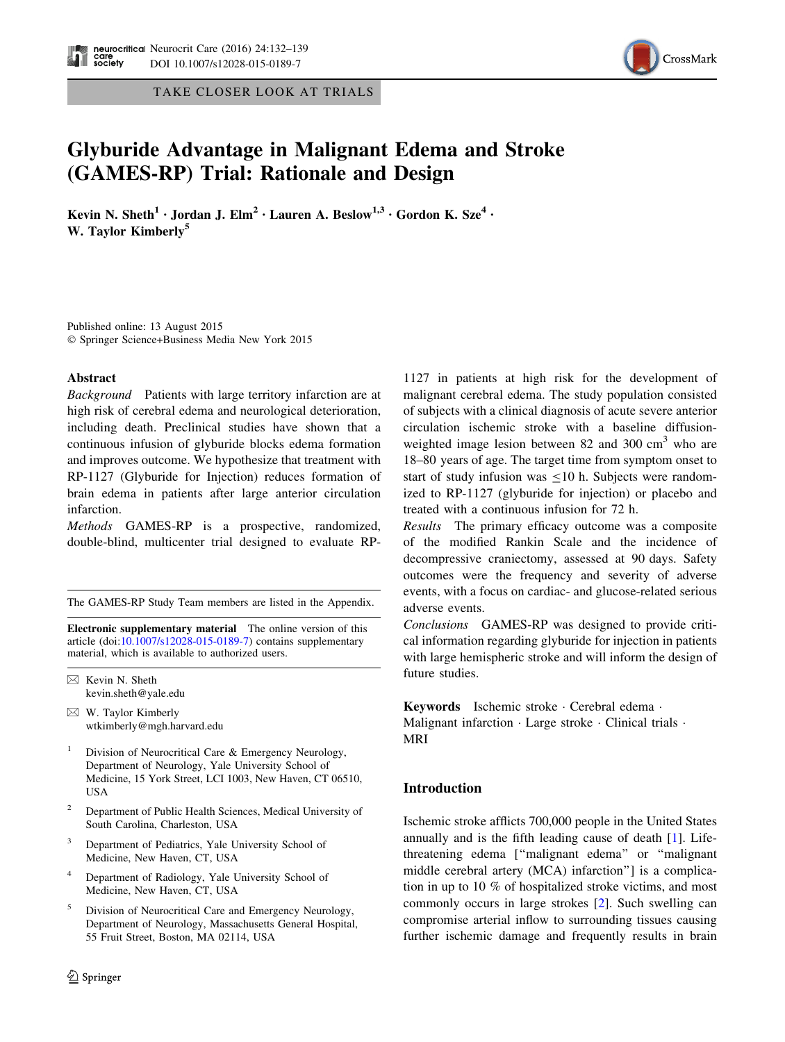TAKE CLOSER LOOK AT TRIALS



# Glyburide Advantage in Malignant Edema and Stroke (GAMES-RP) Trial: Rationale and Design

Kevin N. Sheth<sup>1</sup> • Jordan J. Elm<sup>2</sup> • Lauren A. Beslow<sup>1,3</sup> • Gordon K. Sze<sup>4</sup> • W. Taylor Kimberly<sup>5</sup>

Published online: 13 August 2015 - Springer Science+Business Media New York 2015

# Abstract

Background Patients with large territory infarction are at high risk of cerebral edema and neurological deterioration, including death. Preclinical studies have shown that a continuous infusion of glyburide blocks edema formation and improves outcome. We hypothesize that treatment with RP-1127 (Glyburide for Injection) reduces formation of brain edema in patients after large anterior circulation infarction.

Methods GAMES-RP is a prospective, randomized, double-blind, multicenter trial designed to evaluate RP-

The GAMES-RP Study Team members are listed in the Appendix.

Electronic supplementary material The online version of this article (doi:[10.1007/s12028-015-0189-7\)](http://dx.doi.org/10.1007/s12028-015-0189-7) contains supplementary material, which is available to authorized users.

 $\boxtimes$  Kevin N. Sheth kevin.sheth@yale.edu

 $\boxtimes$  W. Taylor Kimberly wtkimberly@mgh.harvard.edu

- Division of Neurocritical Care & Emergency Neurology, Department of Neurology, Yale University School of Medicine, 15 York Street, LCI 1003, New Haven, CT 06510, USA
- <sup>2</sup> Department of Public Health Sciences, Medical University of South Carolina, Charleston, USA
- Department of Pediatrics, Yale University School of Medicine, New Haven, CT, USA
- Department of Radiology, Yale University School of Medicine, New Haven, CT, USA
- <sup>5</sup> Division of Neurocritical Care and Emergency Neurology, Department of Neurology, Massachusetts General Hospital, 55 Fruit Street, Boston, MA 02114, USA

1127 in patients at high risk for the development of malignant cerebral edema. The study population consisted of subjects with a clinical diagnosis of acute severe anterior circulation ischemic stroke with a baseline diffusionweighted image lesion between 82 and 300  $\text{cm}^3$  who are 18–80 years of age. The target time from symptom onset to start of study infusion was  $\leq 10$  h. Subjects were randomized to RP-1127 (glyburide for injection) or placebo and treated with a continuous infusion for 72 h.

Results The primary efficacy outcome was a composite of the modified Rankin Scale and the incidence of decompressive craniectomy, assessed at 90 days. Safety outcomes were the frequency and severity of adverse events, with a focus on cardiac- and glucose-related serious adverse events.

Conclusions GAMES-RP was designed to provide critical information regarding glyburide for injection in patients with large hemispheric stroke and will inform the design of future studies.

Keywords Ischemic stroke - Cerebral edema - Malignant infarction · Large stroke · Clinical trials · MRI

# Introduction

Ischemic stroke afflicts 700,000 people in the United States annually and is the fifth leading cause of death [[1\]](#page-6-0). Lifethreatening edema [''malignant edema'' or ''malignant middle cerebral artery (MCA) infarction''] is a complication in up to 10 % of hospitalized stroke victims, and most commonly occurs in large strokes [[2\]](#page-6-0). Such swelling can compromise arterial inflow to surrounding tissues causing further ischemic damage and frequently results in brain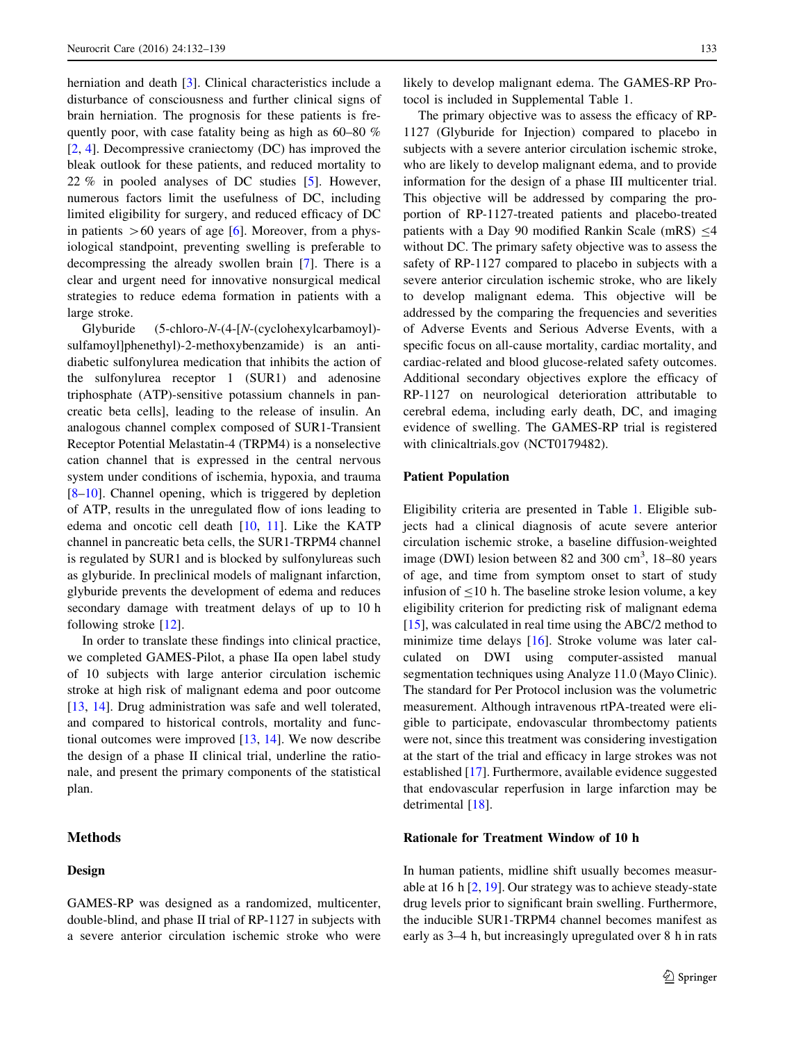herniation and death [\[3](#page-6-0)]. Clinical characteristics include a disturbance of consciousness and further clinical signs of brain herniation. The prognosis for these patients is frequently poor, with case fatality being as high as 60–80 % [\[2](#page-6-0), [4\]](#page-7-0). Decompressive craniectomy (DC) has improved the bleak outlook for these patients, and reduced mortality to 22 % in pooled analyses of DC studies [[5\]](#page-7-0). However, numerous factors limit the usefulness of DC, including limited eligibility for surgery, and reduced efficacy of DC in patients  $>60$  years of age [[6\]](#page-7-0). Moreover, from a physiological standpoint, preventing swelling is preferable to decompressing the already swollen brain [\[7](#page-7-0)]. There is a clear and urgent need for innovative nonsurgical medical strategies to reduce edema formation in patients with a large stroke.

Glyburide  $(5\text{-chloro-N-(4-[N-(cyclelohexylcarbamoyl)-}$ sulfamoyl]phenethyl)-2-methoxybenzamide) is an antidiabetic sulfonylurea medication that inhibits the action of the sulfonylurea receptor 1 (SUR1) and adenosine triphosphate (ATP)-sensitive potassium channels in pancreatic beta cells], leading to the release of insulin. An analogous channel complex composed of SUR1-Transient Receptor Potential Melastatin-4 (TRPM4) is a nonselective cation channel that is expressed in the central nervous system under conditions of ischemia, hypoxia, and trauma [\[8–10](#page-7-0)]. Channel opening, which is triggered by depletion of ATP, results in the unregulated flow of ions leading to edema and oncotic cell death [[10,](#page-7-0) [11](#page-7-0)]. Like the KATP channel in pancreatic beta cells, the SUR1-TRPM4 channel is regulated by SUR1 and is blocked by sulfonylureas such as glyburide. In preclinical models of malignant infarction, glyburide prevents the development of edema and reduces secondary damage with treatment delays of up to 10 h following stroke [\[12](#page-7-0)].

In order to translate these findings into clinical practice, we completed GAMES-Pilot, a phase IIa open label study of 10 subjects with large anterior circulation ischemic stroke at high risk of malignant edema and poor outcome [\[13](#page-7-0), [14](#page-7-0)]. Drug administration was safe and well tolerated, and compared to historical controls, mortality and functional outcomes were improved [[13,](#page-7-0) [14](#page-7-0)]. We now describe the design of a phase II clinical trial, underline the rationale, and present the primary components of the statistical plan.

# Methods

# Design

GAMES-RP was designed as a randomized, multicenter, double-blind, and phase II trial of RP-1127 in subjects with a severe anterior circulation ischemic stroke who were likely to develop malignant edema. The GAMES-RP Protocol is included in Supplemental Table 1.

The primary objective was to assess the efficacy of RP-1127 (Glyburide for Injection) compared to placebo in subjects with a severe anterior circulation ischemic stroke, who are likely to develop malignant edema, and to provide information for the design of a phase III multicenter trial. This objective will be addressed by comparing the proportion of RP-1127-treated patients and placebo-treated patients with a Day 90 modified Rankin Scale (mRS)  $\leq$ 4 without DC. The primary safety objective was to assess the safety of RP-1127 compared to placebo in subjects with a severe anterior circulation ischemic stroke, who are likely to develop malignant edema. This objective will be addressed by the comparing the frequencies and severities of Adverse Events and Serious Adverse Events, with a specific focus on all-cause mortality, cardiac mortality, and cardiac-related and blood glucose-related safety outcomes. Additional secondary objectives explore the efficacy of RP-1127 on neurological deterioration attributable to cerebral edema, including early death, DC, and imaging evidence of swelling. The GAMES-RP trial is registered with clinicaltrials.gov (NCT0179482).

# Patient Population

Eligibility criteria are presented in Table [1.](#page-2-0) Eligible subjects had a clinical diagnosis of acute severe anterior circulation ischemic stroke, a baseline diffusion-weighted image (DWI) lesion between 82 and 300 cm<sup>3</sup>, 18-80 years of age, and time from symptom onset to start of study infusion of  $\leq 10$  h. The baseline stroke lesion volume, a key eligibility criterion for predicting risk of malignant edema [\[15](#page-7-0)], was calculated in real time using the ABC/2 method to minimize time delays [\[16](#page-7-0)]. Stroke volume was later calculated on DWI using computer-assisted manual segmentation techniques using Analyze 11.0 (Mayo Clinic). The standard for Per Protocol inclusion was the volumetric measurement. Although intravenous rtPA-treated were eligible to participate, endovascular thrombectomy patients were not, since this treatment was considering investigation at the start of the trial and efficacy in large strokes was not established [\[17](#page-7-0)]. Furthermore, available evidence suggested that endovascular reperfusion in large infarction may be detrimental [\[18](#page-7-0)].

# Rationale for Treatment Window of 10 h

In human patients, midline shift usually becomes measurable at 16 h [[2,](#page-6-0) [19\]](#page-7-0). Our strategy was to achieve steady-state drug levels prior to significant brain swelling. Furthermore, the inducible SUR1-TRPM4 channel becomes manifest as early as 3–4 h, but increasingly upregulated over 8 h in rats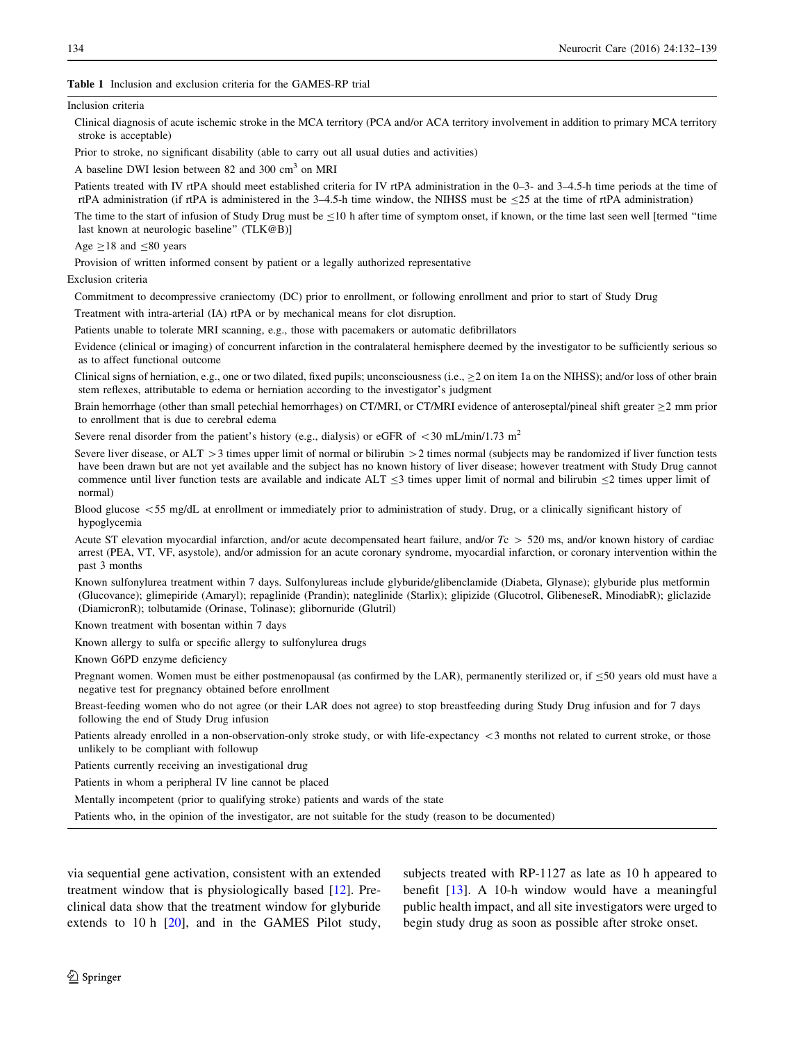## <span id="page-2-0"></span>Table 1 Inclusion and exclusion criteria for the GAMES-RP trial

#### Inclusion criteria

Clinical diagnosis of acute ischemic stroke in the MCA territory (PCA and/or ACA territory involvement in addition to primary MCA territory stroke is acceptable)

Prior to stroke, no significant disability (able to carry out all usual duties and activities)

A baseline DWI lesion between 82 and 300 cm<sup>3</sup> on MRI

Patients treated with IV rtPA should meet established criteria for IV rtPA administration in the 0–3- and 3–4.5-h time periods at the time of rtPA administration (if rtPA is administered in the 3-4.5-h time window, the NIHSS must be  $\leq$ 25 at the time of rtPA administration)

The time to the start of infusion of Study Drug must be  $\leq$ 10 h after time of symptom onset, if known, or the time last seen well [termed "time last known at neurologic baseline" (TLK@B)]

#### Age  $\geq$ 18 and  $\leq$ 80 years

Provision of written informed consent by patient or a legally authorized representative

#### Exclusion criteria

Commitment to decompressive craniectomy (DC) prior to enrollment, or following enrollment and prior to start of Study Drug

Treatment with intra-arterial (IA) rtPA or by mechanical means for clot disruption.

Patients unable to tolerate MRI scanning, e.g., those with pacemakers or automatic defibrillators

Evidence (clinical or imaging) of concurrent infarction in the contralateral hemisphere deemed by the investigator to be sufficiently serious so as to affect functional outcome

Clinical signs of herniation, e.g., one or two dilated, fixed pupils; unconsciousness (i.e.,  $\geq 2$  on item 1a on the NIHSS); and/or loss of other brain stem reflexes, attributable to edema or herniation according to the investigator's judgment

Brain hemorrhage (other than small petechial hemorrhages) on CT/MRI, or CT/MRI evidence of anteroseptal/pineal shift greater  $\geq$  mm prior to enrollment that is due to cerebral edema

Severe renal disorder from the patient's history (e.g., dialysis) or eGFR of  $\lt$  30 mL/min/1.73 m<sup>2</sup>

Severe liver disease, or  $ALT > 3$  times upper limit of normal or bilirubin  $> 2$  times normal (subjects may be randomized if liver function tests have been drawn but are not yet available and the subject has no known history of liver disease; however treatment with Study Drug cannot commence until liver function tests are available and indicate ALT  $\leq$ 3 times upper limit of normal and bilirubin  $\leq$ 2 times upper limit of normal)

Blood glucose <55 mg/dL at enrollment or immediately prior to administration of study. Drug, or a clinically significant history of hypoglycemia

Acute ST elevation myocardial infarction, and/or acute decompensated heart failure, and/or  $T_c$  > 520 ms, and/or known history of cardiac arrest (PEA, VT, VF, asystole), and/or admission for an acute coronary syndrome, myocardial infarction, or coronary intervention within the past 3 months

Known sulfonylurea treatment within 7 days. Sulfonylureas include glyburide/glibenclamide (Diabeta, Glynase); glyburide plus metformin (Glucovance); glimepiride (Amaryl); repaglinide (Prandin); nateglinide (Starlix); glipizide (Glucotrol, GlibeneseR, MinodiabR); gliclazide (DiamicronR); tolbutamide (Orinase, Tolinase); glibornuride (Glutril)

Known treatment with bosentan within 7 days

Known allergy to sulfa or specific allergy to sulfonylurea drugs

Known G6PD enzyme deficiency

Pregnant women. Women must be either postmenopausal (as confirmed by the LAR), permanently sterilized or, if  $\leq 50$  years old must have a negative test for pregnancy obtained before enrollment

Breast-feeding women who do not agree (or their LAR does not agree) to stop breastfeeding during Study Drug infusion and for 7 days following the end of Study Drug infusion

Patients already enrolled in a non-observation-only stroke study, or with life-expectancy  $\lt 3$  months not related to current stroke, or those unlikely to be compliant with followup

Patients currently receiving an investigational drug

Patients in whom a peripheral IV line cannot be placed

Mentally incompetent (prior to qualifying stroke) patients and wards of the state

Patients who, in the opinion of the investigator, are not suitable for the study (reason to be documented)

via sequential gene activation, consistent with an extended treatment window that is physiologically based [[12\]](#page-7-0). Preclinical data show that the treatment window for glyburide extends to 10 h  $[20]$  $[20]$ , and in the GAMES Pilot study, subjects treated with RP-1127 as late as 10 h appeared to benefit [[13\]](#page-7-0). A 10-h window would have a meaningful public health impact, and all site investigators were urged to begin study drug as soon as possible after stroke onset.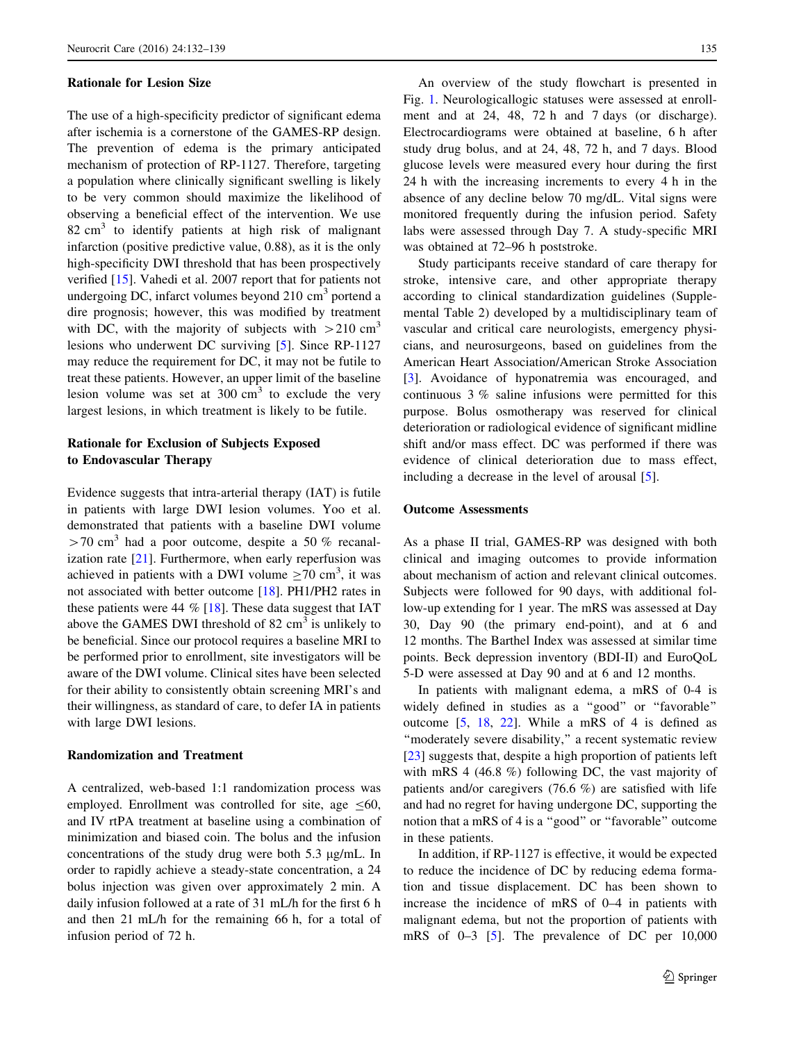#### Rationale for Lesion Size

The use of a high-specificity predictor of significant edema after ischemia is a cornerstone of the GAMES-RP design. The prevention of edema is the primary anticipated mechanism of protection of RP-1127. Therefore, targeting a population where clinically significant swelling is likely to be very common should maximize the likelihood of observing a beneficial effect of the intervention. We use  $82 \text{ cm}^3$  to identify patients at high risk of malignant infarction (positive predictive value, 0.88), as it is the only high-specificity DWI threshold that has been prospectively verified [[15\]](#page-7-0). Vahedi et al. 2007 report that for patients not undergoing DC, infarct volumes beyond  $210 \text{ cm}^3$  portend a dire prognosis; however, this was modified by treatment with DC, with the majority of subjects with  $>210 \text{ cm}^3$ lesions who underwent DC surviving [[5\]](#page-7-0). Since RP-1127 may reduce the requirement for DC, it may not be futile to treat these patients. However, an upper limit of the baseline lesion volume was set at  $300 \text{ cm}^3$  to exclude the very largest lesions, in which treatment is likely to be futile.

# Rationale for Exclusion of Subjects Exposed to Endovascular Therapy

Evidence suggests that intra-arterial therapy (IAT) is futile in patients with large DWI lesion volumes. Yoo et al. demonstrated that patients with a baseline DWI volume  $>70$  cm<sup>3</sup> had a poor outcome, despite a 50 % recanalization rate  $[21]$  $[21]$ . Furthermore, when early reperfusion was achieved in patients with a DWI volume  $\geq$ 70 cm<sup>3</sup>, it was not associated with better outcome [\[18](#page-7-0)]. PH1/PH2 rates in these patients were 44 % [[18\]](#page-7-0). These data suggest that IAT above the GAMES DWI threshold of 82  $\text{cm}^3$  is unlikely to be beneficial. Since our protocol requires a baseline MRI to be performed prior to enrollment, site investigators will be aware of the DWI volume. Clinical sites have been selected for their ability to consistently obtain screening MRI's and their willingness, as standard of care, to defer IA in patients with large DWI lesions.

# Randomization and Treatment

A centralized, web-based 1:1 randomization process was employed. Enrollment was controlled for site, age  $\leq 60$ , and IV rtPA treatment at baseline using a combination of minimization and biased coin. The bolus and the infusion concentrations of the study drug were both  $5.3 \mu g/mL$ . In order to rapidly achieve a steady-state concentration, a 24 bolus injection was given over approximately 2 min. A daily infusion followed at a rate of 31 mL/h for the first 6 h and then 21 mL/h for the remaining 66 h, for a total of infusion period of 72 h.

An overview of the study flowchart is presented in Fig. [1](#page-4-0). Neurologicallogic statuses were assessed at enrollment and at 24, 48, 72 h and 7 days (or discharge). Electrocardiograms were obtained at baseline, 6 h after study drug bolus, and at 24, 48, 72 h, and 7 days. Blood glucose levels were measured every hour during the first 24 h with the increasing increments to every 4 h in the absence of any decline below 70 mg/dL. Vital signs were monitored frequently during the infusion period. Safety labs were assessed through Day 7. A study-specific MRI was obtained at 72–96 h poststroke.

Study participants receive standard of care therapy for stroke, intensive care, and other appropriate therapy according to clinical standardization guidelines (Supplemental Table 2) developed by a multidisciplinary team of vascular and critical care neurologists, emergency physicians, and neurosurgeons, based on guidelines from the American Heart Association/American Stroke Association [\[3](#page-6-0)]. Avoidance of hyponatremia was encouraged, and continuous 3 % saline infusions were permitted for this purpose. Bolus osmotherapy was reserved for clinical deterioration or radiological evidence of significant midline shift and/or mass effect. DC was performed if there was evidence of clinical deterioration due to mass effect, including a decrease in the level of arousal [[5\]](#page-7-0).

#### Outcome Assessments

As a phase II trial, GAMES-RP was designed with both clinical and imaging outcomes to provide information about mechanism of action and relevant clinical outcomes. Subjects were followed for 90 days, with additional follow-up extending for 1 year. The mRS was assessed at Day 30, Day 90 (the primary end-point), and at 6 and 12 months. The Barthel Index was assessed at similar time points. Beck depression inventory (BDI-II) and EuroQoL 5-D were assessed at Day 90 and at 6 and 12 months.

In patients with malignant edema, a mRS of 0-4 is widely defined in studies as a ''good'' or ''favorable'' outcome [\[5](#page-7-0), [18,](#page-7-0) [22\]](#page-7-0). While a mRS of 4 is defined as ''moderately severe disability,'' a recent systematic review [\[23](#page-7-0)] suggests that, despite a high proportion of patients left with mRS 4 (46.8 %) following DC, the vast majority of patients and/or caregivers (76.6 %) are satisfied with life and had no regret for having undergone DC, supporting the notion that a mRS of 4 is a ''good'' or ''favorable'' outcome in these patients.

In addition, if RP-1127 is effective, it would be expected to reduce the incidence of DC by reducing edema formation and tissue displacement. DC has been shown to increase the incidence of mRS of 0–4 in patients with malignant edema, but not the proportion of patients with mRS of 0–3 [\[5](#page-7-0)]. The prevalence of DC per 10,000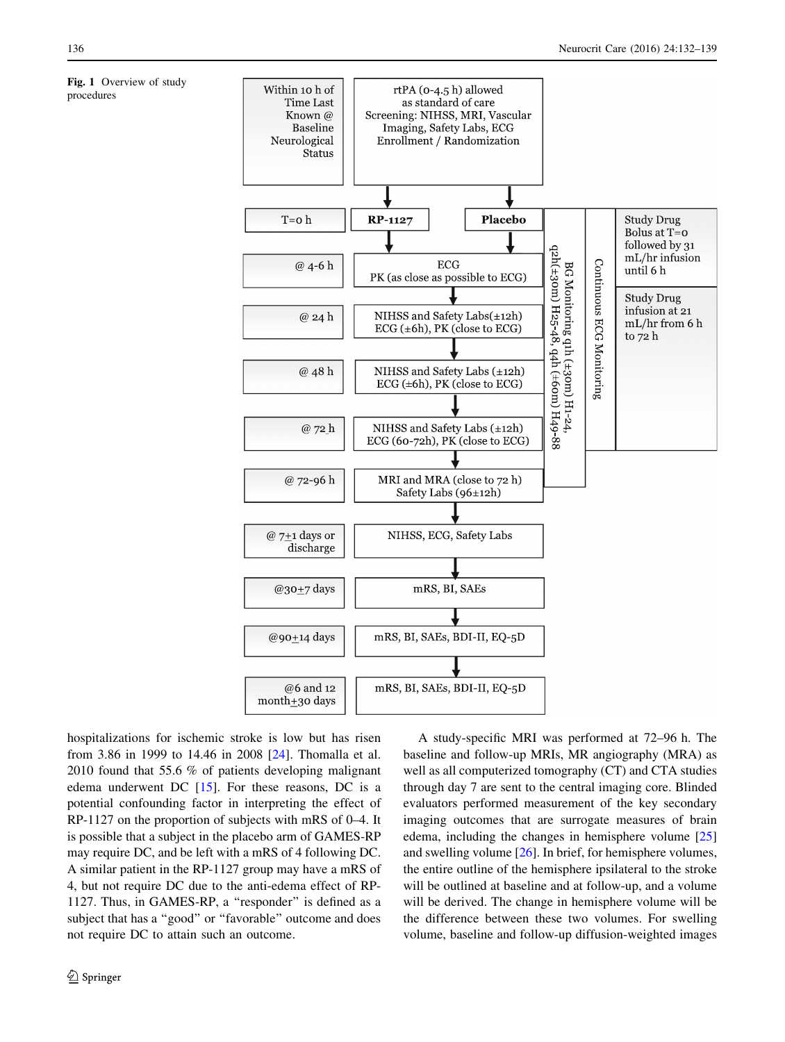<span id="page-4-0"></span>Fig. 1 Overview of study procedures



hospitalizations for ischemic stroke is low but has risen from 3.86 in 1999 to 14.46 in 2008 [[24\]](#page-7-0). Thomalla et al. 2010 found that 55.6 % of patients developing malignant edema underwent DC [[15\]](#page-7-0). For these reasons, DC is a potential confounding factor in interpreting the effect of RP-1127 on the proportion of subjects with mRS of 0–4. It is possible that a subject in the placebo arm of GAMES-RP may require DC, and be left with a mRS of 4 following DC. A similar patient in the RP-1127 group may have a mRS of 4, but not require DC due to the anti-edema effect of RP-1127. Thus, in GAMES-RP, a ''responder'' is defined as a subject that has a "good" or "favorable" outcome and does not require DC to attain such an outcome.

A study-specific MRI was performed at 72–96 h. The baseline and follow-up MRIs, MR angiography (MRA) as well as all computerized tomography (CT) and CTA studies through day 7 are sent to the central imaging core. Blinded evaluators performed measurement of the key secondary imaging outcomes that are surrogate measures of brain edema, including the changes in hemisphere volume [[25\]](#page-7-0) and swelling volume [\[26](#page-7-0)]. In brief, for hemisphere volumes, the entire outline of the hemisphere ipsilateral to the stroke will be outlined at baseline and at follow-up, and a volume will be derived. The change in hemisphere volume will be the difference between these two volumes. For swelling volume, baseline and follow-up diffusion-weighted images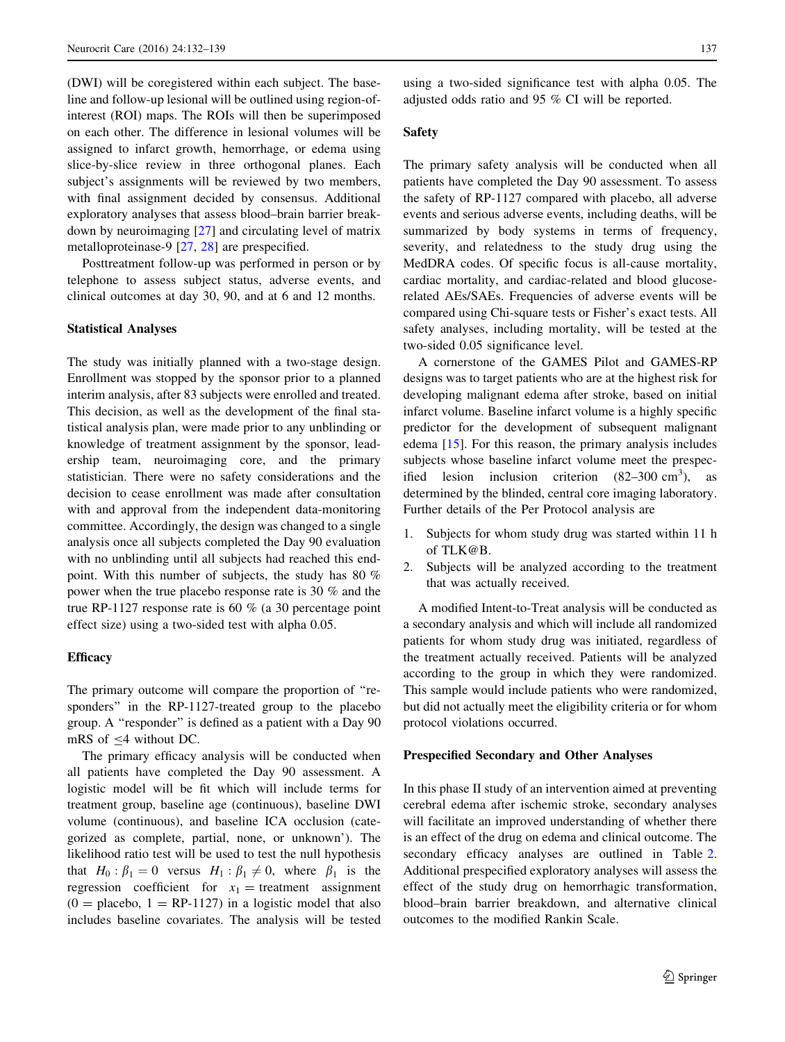(DWI) will be coregistered within each subject. The baseline and follow-up lesional will be outlined using region-ofinterest (ROI) maps. The ROIs will then be superimposed on each other. The difference in lesional volumes will be assigned to infarct growth, hemorrhage, or edema using slice-by-slice review in three orthogonal planes. Each subject's assignments will be reviewed by two members, with final assignment decided by consensus. Additional exploratory analyses that assess blood–brain barrier breakdown by neuroimaging [\[27](#page-7-0)] and circulating level of matrix metalloproteinase-9 [[27,](#page-7-0) [28](#page-7-0)] are prespecified.

Posttreatment follow-up was performed in person or by telephone to assess subject status, adverse events, and clinical outcomes at day 30, 90, and at 6 and 12 months.

# Statistical Analyses

The study was initially planned with a two-stage design. Enrollment was stopped by the sponsor prior to a planned interim analysis, after 83 subjects were enrolled and treated. This decision, as well as the development of the final statistical analysis plan, were made prior to any unblinding or knowledge of treatment assignment by the sponsor, leadership team, neuroimaging core, and the primary statistician. There were no safety considerations and the decision to cease enrollment was made after consultation with and approval from the independent data-monitoring committee. Accordingly, the design was changed to a single analysis once all subjects completed the Day 90 evaluation with no unblinding until all subjects had reached this endpoint. With this number of subjects, the study has 80 % power when the true placebo response rate is 30 % and the true RP-1127 response rate is 60 % (a 30 percentage point effect size) using a two-sided test with alpha 0.05.

#### **Efficacy**

The primary outcome will compare the proportion of ''responders'' in the RP-1127-treated group to the placebo group. A ''responder'' is defined as a patient with a Day 90 mRS of  $\leq 4$  without DC.

The primary efficacy analysis will be conducted when all patients have completed the Day 90 assessment. A logistic model will be fit which will include terms for treatment group, baseline age (continuous), baseline DWI volume (continuous), and baseline ICA occlusion (categorized as complete, partial, none, or unknown'). The likelihood ratio test will be used to test the null hypothesis that  $H_0$ :  $\beta_1 = 0$  versus  $H_1$ :  $\beta_1 \neq 0$ , where  $\beta_1$  is the regression coefficient for  $x_1$  = treatment assignment  $(0 =$  placebo,  $1 =$  RP-1127) in a logistic model that also includes baseline covariates. The analysis will be tested

using a two-sided significance test with alpha 0.05. The adjusted odds ratio and 95 % CI will be reported.

#### Safety

The primary safety analysis will be conducted when all patients have completed the Day 90 assessment. To assess the safety of RP-1127 compared with placebo, all adverse events and serious adverse events, including deaths, will be summarized by body systems in terms of frequency, severity, and relatedness to the study drug using the MedDRA codes. Of specific focus is all-cause mortality, cardiac mortality, and cardiac-related and blood glucoserelated AEs/SAEs. Frequencies of adverse events will be compared using Chi-square tests or Fisher's exact tests. All safety analyses, including mortality, will be tested at the two-sided 0.05 significance level.

A cornerstone of the GAMES Pilot and GAMES-RP designs was to target patients who are at the highest risk for developing malignant edema after stroke, based on initial infarct volume. Baseline infarct volume is a highly specific predictor for the development of subsequent malignant edema [[15\]](#page-7-0). For this reason, the primary analysis includes subjects whose baseline infarct volume meet the prespecified lesion inclusion criterion  $(82-300 \text{ cm}^3)$ , as determined by the blinded, central core imaging laboratory. Further details of the Per Protocol analysis are

- 1. Subjects for whom study drug was started within 11 h of TLK@B.
- 2. Subjects will be analyzed according to the treatment that was actually received.

A modified Intent-to-Treat analysis will be conducted as a secondary analysis and which will include all randomized patients for whom study drug was initiated, regardless of the treatment actually received. Patients will be analyzed according to the group in which they were randomized. This sample would include patients who were randomized, but did not actually meet the eligibility criteria or for whom protocol violations occurred.

#### Prespecified Secondary and Other Analyses

In this phase II study of an intervention aimed at preventing cerebral edema after ischemic stroke, secondary analyses will facilitate an improved understanding of whether there is an effect of the drug on edema and clinical outcome. The secondary efficacy analyses are outlined in Table [2.](#page-6-0) Additional prespecified exploratory analyses will assess the effect of the study drug on hemorrhagic transformation, blood–brain barrier breakdown, and alternative clinical outcomes to the modified Rankin Scale.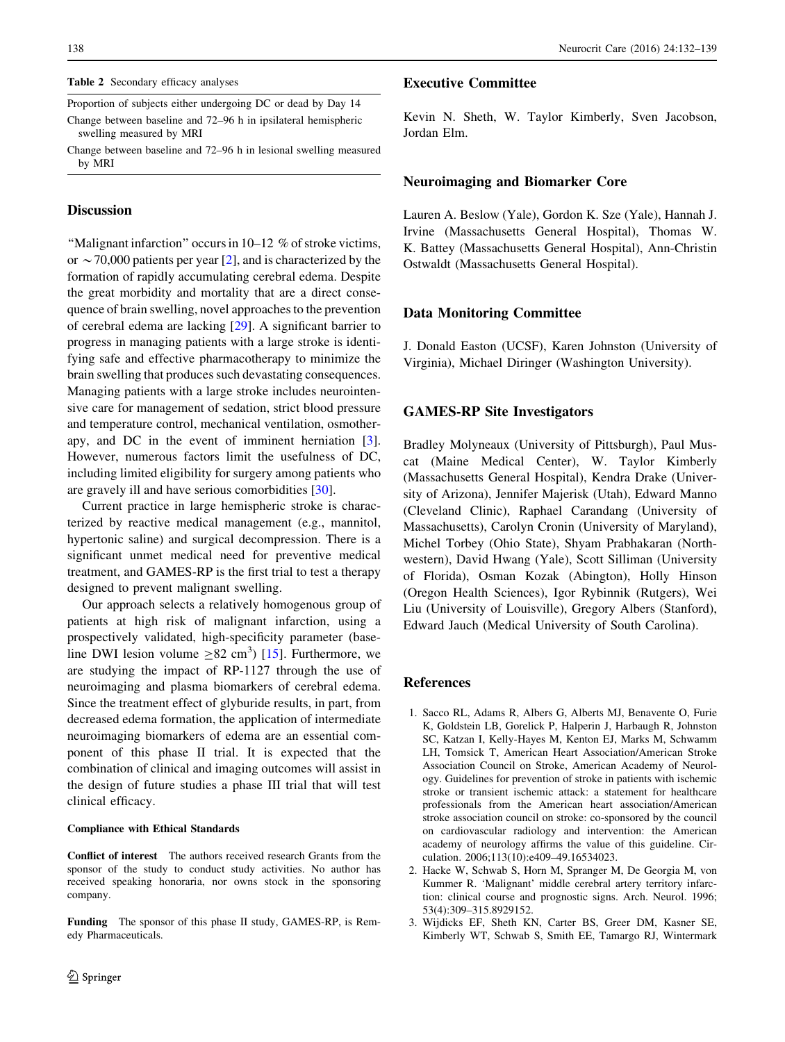#### <span id="page-6-0"></span>Table 2 Secondary efficacy analyses

Proportion of subjects either undergoing DC or dead by Day 14 Change between baseline and 72–96 h in ipsilateral hemispheric

swelling measured by MRI Change between baseline and 72–96 h in lesional swelling measured by MRI

# **Discussion**

''Malignant infarction'' occurs in 10–12 % of stroke victims, or  $\sim$  70,000 patients per year [2], and is characterized by the formation of rapidly accumulating cerebral edema. Despite the great morbidity and mortality that are a direct consequence of brain swelling, novel approaches to the prevention of cerebral edema are lacking [[29\]](#page-7-0). A significant barrier to progress in managing patients with a large stroke is identifying safe and effective pharmacotherapy to minimize the brain swelling that produces such devastating consequences. Managing patients with a large stroke includes neurointensive care for management of sedation, strict blood pressure and temperature control, mechanical ventilation, osmotherapy, and DC in the event of imminent herniation [3]. However, numerous factors limit the usefulness of DC, including limited eligibility for surgery among patients who are gravely ill and have serious comorbidities [\[30](#page-7-0)].

Current practice in large hemispheric stroke is characterized by reactive medical management (e.g., mannitol, hypertonic saline) and surgical decompression. There is a significant unmet medical need for preventive medical treatment, and GAMES-RP is the first trial to test a therapy designed to prevent malignant swelling.

Our approach selects a relatively homogenous group of patients at high risk of malignant infarction, using a prospectively validated, high-specificity parameter (baseline DWI lesion volume  $\geq 82$  cm<sup>3</sup>) [[15\]](#page-7-0). Furthermore, we are studying the impact of RP-1127 through the use of neuroimaging and plasma biomarkers of cerebral edema. Since the treatment effect of glyburide results, in part, from decreased edema formation, the application of intermediate neuroimaging biomarkers of edema are an essential component of this phase II trial. It is expected that the combination of clinical and imaging outcomes will assist in the design of future studies a phase III trial that will test clinical efficacy.

#### Compliance with Ethical Standards

Conflict of interest The authors received research Grants from the sponsor of the study to conduct study activities. No author has received speaking honoraria, nor owns stock in the sponsoring company.

Funding The sponsor of this phase II study, GAMES-RP, is Remedy Pharmaceuticals.

# Executive Committee

Kevin N. Sheth, W. Taylor Kimberly, Sven Jacobson, Jordan Elm.

# Neuroimaging and Biomarker Core

Lauren A. Beslow (Yale), Gordon K. Sze (Yale), Hannah J. Irvine (Massachusetts General Hospital), Thomas W. K. Battey (Massachusetts General Hospital), Ann-Christin Ostwaldt (Massachusetts General Hospital).

## Data Monitoring Committee

J. Donald Easton (UCSF), Karen Johnston (University of Virginia), Michael Diringer (Washington University).

## GAMES-RP Site Investigators

Bradley Molyneaux (University of Pittsburgh), Paul Muscat (Maine Medical Center), W. Taylor Kimberly (Massachusetts General Hospital), Kendra Drake (University of Arizona), Jennifer Majerisk (Utah), Edward Manno (Cleveland Clinic), Raphael Carandang (University of Massachusetts), Carolyn Cronin (University of Maryland), Michel Torbey (Ohio State), Shyam Prabhakaran (Northwestern), David Hwang (Yale), Scott Silliman (University of Florida), Osman Kozak (Abington), Holly Hinson (Oregon Health Sciences), Igor Rybinnik (Rutgers), Wei Liu (University of Louisville), Gregory Albers (Stanford), Edward Jauch (Medical University of South Carolina).

# References

- 1. Sacco RL, Adams R, Albers G, Alberts MJ, Benavente O, Furie K, Goldstein LB, Gorelick P, Halperin J, Harbaugh R, Johnston SC, Katzan I, Kelly-Hayes M, Kenton EJ, Marks M, Schwamm LH, Tomsick T, American Heart Association/American Stroke Association Council on Stroke, American Academy of Neurology. Guidelines for prevention of stroke in patients with ischemic stroke or transient ischemic attack: a statement for healthcare professionals from the American heart association/American stroke association council on stroke: co-sponsored by the council on cardiovascular radiology and intervention: the American academy of neurology affirms the value of this guideline. Circulation. 2006;113(10):e409–49.16534023.
- 2. Hacke W, Schwab S, Horn M, Spranger M, De Georgia M, von Kummer R. 'Malignant' middle cerebral artery territory infarction: clinical course and prognostic signs. Arch. Neurol. 1996; 53(4):309–315.8929152.
- 3. Wijdicks EF, Sheth KN, Carter BS, Greer DM, Kasner SE, Kimberly WT, Schwab S, Smith EE, Tamargo RJ, Wintermark